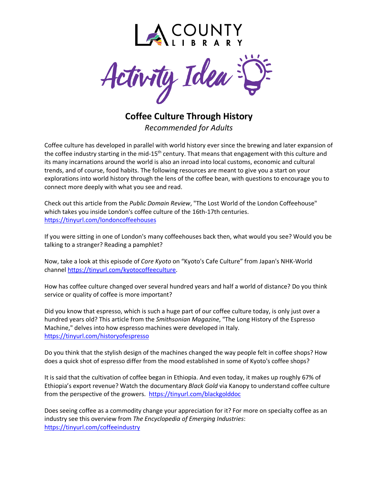



**Coffee Culture Through History** *Recommended for Adults*

Coffee culture has developed in parallel with world history ever since the brewing and later expansion of the coffee industry starting in the mid-15<sup>th</sup> century. That means that engagement with this culture and its many incarnations around the world is also an inroad into local customs, economic and cultural trends, and of course, food habits. The following resources are meant to give you a start on your explorations into world history through the lens of the coffee bean, with questions to encourage you to connect more deeply with what you see and read.

Check out this article from the *Public Domain Review*, "The Lost World of the London Coffeehouse" which takes you inside London's coffee culture of the 16th-17th centuries. <https://tinyurl.com/londoncoffeehouses>

If you were sitting in one of London's many coffeehouses back then, what would you see? Would you be talking to a stranger? Reading a pamphlet?

Now, take a look at this episode of *Core Kyoto* on "Kyoto's Cafe Culture" from Japan's NHK-World channel [https://tinyurl.com/kyotocoffeeculture.](https://tinyurl.com/kyotocoffeeculture)

How has coffee culture changed over several hundred years and half a world of distance? Do you think service or quality of coffee is more important?

Did you know that espresso, which is such a huge part of our coffee culture today, is only just over a hundred years old? This article from the *Smithsonian Magazine*, "The Long History of the Espresso Machine," delves into how espresso machines were developed in Italy. <https://tinyurl.com/historyofespresso>

Do you think that the stylish design of the machines changed the way people felt in coffee shops? How does a quick shot of espresso differ from the mood established in some of Kyoto's coffee shops?

It is said that the cultivation of coffee began in Ethiopia. And even today, it makes up roughly 67% of Ethiopia's export revenue? Watch the documentary *Black Gold* via Kanopy to understand coffee culture from the perspective of the growers. <https://tinyurl.com/blackgolddoc>

Does seeing coffee as a commodity change your appreciation for it? For more on specialty coffee as an industry see this overview from *The Encyclopedia of Emerging Industries*: <https://tinyurl.com/coffeeindustry>